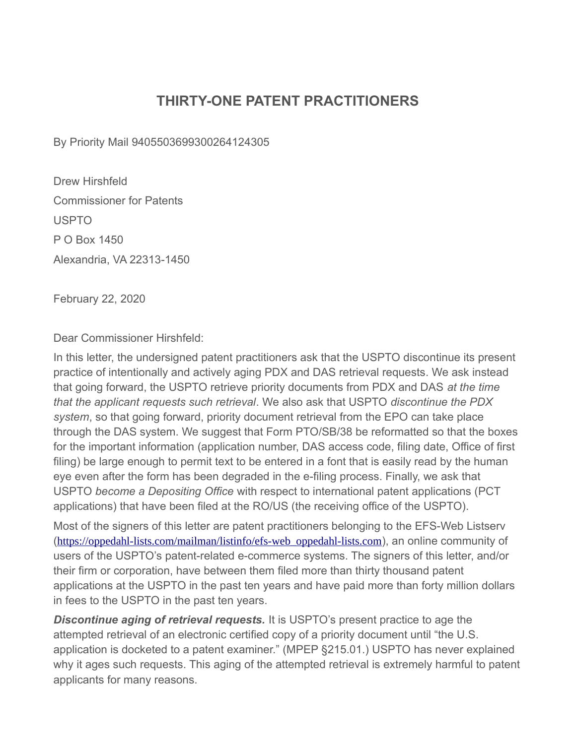## **THIRTY-ONE PATENT PRACTITIONERS**

By Priority Mail 9405503699300264124305

Drew Hirshfeld Commissioner for Patents USPTO P O Box 1450 Alexandria, VA 22313-1450

February 22, 2020

Dear Commissioner Hirshfeld:

In this letter, the undersigned patent practitioners ask that the USPTO discontinue its present practice of intentionally and actively aging PDX and DAS retrieval requests. We ask instead that going forward, the USPTO retrieve priority documents from PDX and DAS *at the time that the applicant requests such retrieval*. We also ask that USPTO *discontinue the PDX system*, so that going forward, priority document retrieval from the EPO can take place through the DAS system. We suggest that Form PTO/SB/38 be reformatted so that the boxes for the important information (application number, DAS access code, filing date, Office of first filing) be large enough to permit text to be entered in a font that is easily read by the human eye even after the form has been degraded in the e-filing process. Finally, we ask that USPTO *become a Depositing Office* with respect to international patent applications (PCT applications) that have been filed at the RO/US (the receiving office of the USPTO).

Most of the signers of this letter are patent practitioners belonging to the EFS-Web Listserv ([https://oppedahl-lists.com/mailman/listinfo/efs-web\\_oppedahl-lists.com](https://oppedahl-lists.com/mailman/listinfo/efs-web_oppedahl-lists.com)), an online community of users of the USPTO's patent-related e-commerce systems. The signers of this letter, and/or their firm or corporation, have between them filed more than thirty thousand patent applications at the USPTO in the past ten years and have paid more than forty million dollars in fees to the USPTO in the past ten years.

**Discontinue aging of retrieval requests.** It is USPTO's present practice to age the attempted retrieval of an electronic certified copy of a priority document until "the U.S. application is docketed to a patent examiner." (MPEP §215.01.) USPTO has never explained why it ages such requests. This aging of the attempted retrieval is extremely harmful to patent applicants for many reasons.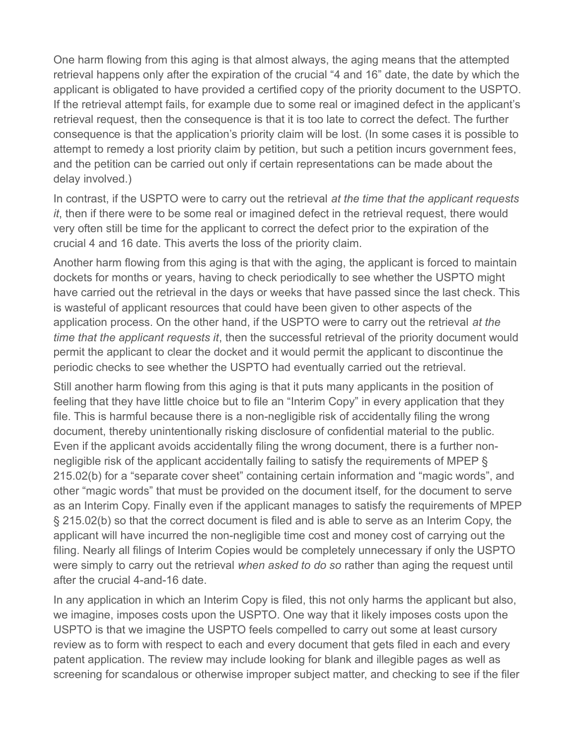One harm flowing from this aging is that almost always, the aging means that the attempted retrieval happens only after the expiration of the crucial "4 and 16" date, the date by which the applicant is obligated to have provided a certified copy of the priority document to the USPTO. If the retrieval attempt fails, for example due to some real or imagined defect in the applicant's retrieval request, then the consequence is that it is too late to correct the defect. The further consequence is that the application's priority claim will be lost. (In some cases it is possible to attempt to remedy a lost priority claim by petition, but such a petition incurs government fees, and the petition can be carried out only if certain representations can be made about the delay involved.)

In contrast, if the USPTO were to carry out the retrieval *at the time that the applicant requests it*, then if there were to be some real or imagined defect in the retrieval request, there would very often still be time for the applicant to correct the defect prior to the expiration of the crucial 4 and 16 date. This averts the loss of the priority claim.

Another harm flowing from this aging is that with the aging, the applicant is forced to maintain dockets for months or years, having to check periodically to see whether the USPTO might have carried out the retrieval in the days or weeks that have passed since the last check. This is wasteful of applicant resources that could have been given to other aspects of the application process. On the other hand, if the USPTO were to carry out the retrieval *at the time that the applicant requests it*, then the successful retrieval of the priority document would permit the applicant to clear the docket and it would permit the applicant to discontinue the periodic checks to see whether the USPTO had eventually carried out the retrieval.

Still another harm flowing from this aging is that it puts many applicants in the position of feeling that they have little choice but to file an "Interim Copy" in every application that they file. This is harmful because there is a non-negligible risk of accidentally filing the wrong document, thereby unintentionally risking disclosure of confidential material to the public. Even if the applicant avoids accidentally filing the wrong document, there is a further nonnegligible risk of the applicant accidentally failing to satisfy the requirements of MPEP § 215.02(b) for a "separate cover sheet" containing certain information and "magic words", and other "magic words" that must be provided on the document itself, for the document to serve as an Interim Copy. Finally even if the applicant manages to satisfy the requirements of MPEP § 215.02(b) so that the correct document is filed and is able to serve as an Interim Copy, the applicant will have incurred the non-negligible time cost and money cost of carrying out the filing. Nearly all filings of Interim Copies would be completely unnecessary if only the USPTO were simply to carry out the retrieval *when asked to do so* rather than aging the request until after the crucial 4-and-16 date.

In any application in which an Interim Copy is filed, this not only harms the applicant but also, we imagine, imposes costs upon the USPTO. One way that it likely imposes costs upon the USPTO is that we imagine the USPTO feels compelled to carry out some at least cursory review as to form with respect to each and every document that gets filed in each and every patent application. The review may include looking for blank and illegible pages as well as screening for scandalous or otherwise improper subject matter, and checking to see if the filer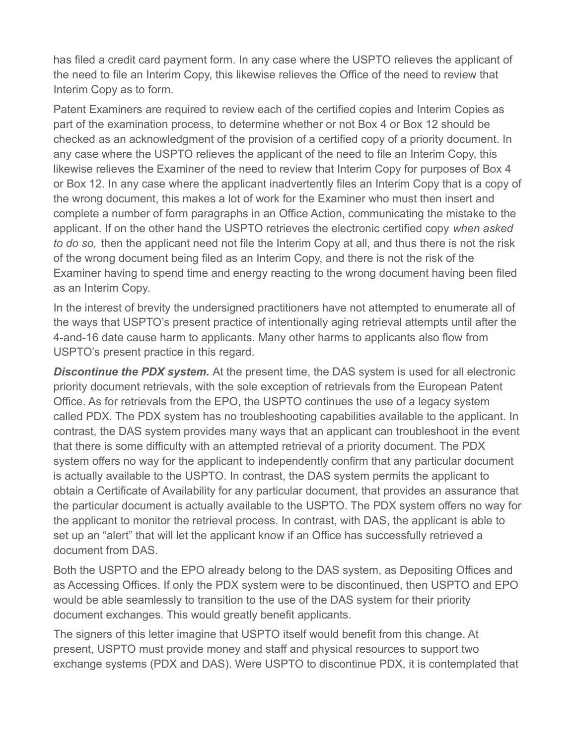has filed a credit card payment form. In any case where the USPTO relieves the applicant of the need to file an Interim Copy, this likewise relieves the Office of the need to review that Interim Copy as to form.

Patent Examiners are required to review each of the certified copies and Interim Copies as part of the examination process, to determine whether or not Box 4 or Box 12 should be checked as an acknowledgment of the provision of a certified copy of a priority document. In any case where the USPTO relieves the applicant of the need to file an Interim Copy, this likewise relieves the Examiner of the need to review that Interim Copy for purposes of Box 4 or Box 12. In any case where the applicant inadvertently files an Interim Copy that is a copy of the wrong document, this makes a lot of work for the Examiner who must then insert and complete a number of form paragraphs in an Office Action, communicating the mistake to the applicant. If on the other hand the USPTO retrieves the electronic certified copy *when asked to do so,* then the applicant need not file the Interim Copy at all, and thus there is not the risk of the wrong document being filed as an Interim Copy, and there is not the risk of the Examiner having to spend time and energy reacting to the wrong document having been filed as an Interim Copy.

In the interest of brevity the undersigned practitioners have not attempted to enumerate all of the ways that USPTO's present practice of intentionally aging retrieval attempts until after the 4-and-16 date cause harm to applicants. Many other harms to applicants also flow from USPTO's present practice in this regard.

**Discontinue the PDX system.** At the present time, the DAS system is used for all electronic priority document retrievals, with the sole exception of retrievals from the European Patent Office. As for retrievals from the EPO, the USPTO continues the use of a legacy system called PDX. The PDX system has no troubleshooting capabilities available to the applicant. In contrast, the DAS system provides many ways that an applicant can troubleshoot in the event that there is some difficulty with an attempted retrieval of a priority document. The PDX system offers no way for the applicant to independently confirm that any particular document is actually available to the USPTO. In contrast, the DAS system permits the applicant to obtain a Certificate of Availability for any particular document, that provides an assurance that the particular document is actually available to the USPTO. The PDX system offers no way for the applicant to monitor the retrieval process. In contrast, with DAS, the applicant is able to set up an "alert" that will let the applicant know if an Office has successfully retrieved a document from DAS.

Both the USPTO and the EPO already belong to the DAS system, as Depositing Offices and as Accessing Offices. If only the PDX system were to be discontinued, then USPTO and EPO would be able seamlessly to transition to the use of the DAS system for their priority document exchanges. This would greatly benefit applicants.

The signers of this letter imagine that USPTO itself would benefit from this change. At present, USPTO must provide money and staff and physical resources to support two exchange systems (PDX and DAS). Were USPTO to discontinue PDX, it is contemplated that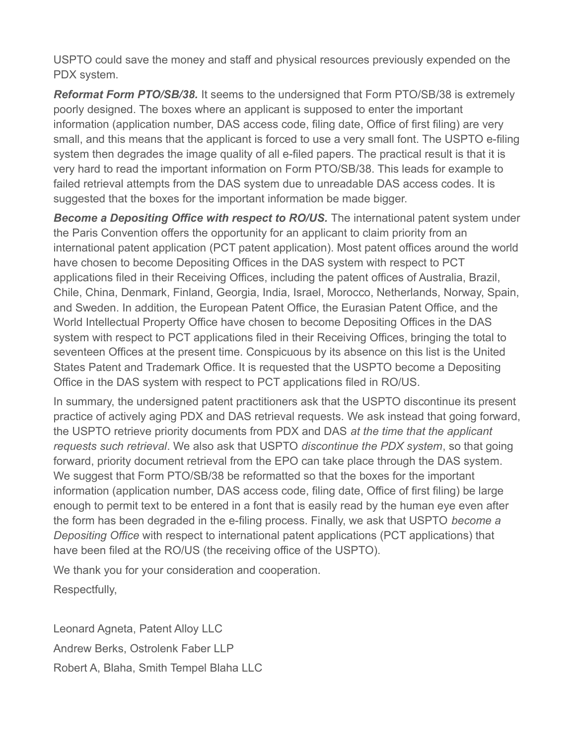USPTO could save the money and staff and physical resources previously expended on the PDX system.

*Reformat Form PTO/SB/38.* It seems to the undersigned that Form PTO/SB/38 is extremely poorly designed. The boxes where an applicant is supposed to enter the important information (application number, DAS access code, filing date, Office of first filing) are very small, and this means that the applicant is forced to use a very small font. The USPTO e-filing system then degrades the image quality of all e-filed papers. The practical result is that it is very hard to read the important information on Form PTO/SB/38. This leads for example to failed retrieval attempts from the DAS system due to unreadable DAS access codes. It is suggested that the boxes for the important information be made bigger.

**Become a Depositing Office with respect to RO/US.** The international patent system under the Paris Convention offers the opportunity for an applicant to claim priority from an international patent application (PCT patent application). Most patent offices around the world have chosen to become Depositing Offices in the DAS system with respect to PCT applications filed in their Receiving Offices, including the patent offices of Australia, Brazil, Chile, China, Denmark, Finland, Georgia, India, Israel, Morocco, Netherlands, Norway, Spain, and Sweden. In addition, the European Patent Office, the Eurasian Patent Office, and the World Intellectual Property Office have chosen to become Depositing Offices in the DAS system with respect to PCT applications filed in their Receiving Offices, bringing the total to seventeen Offices at the present time. Conspicuous by its absence on this list is the United States Patent and Trademark Office. It is requested that the USPTO become a Depositing Office in the DAS system with respect to PCT applications filed in RO/US.

In summary, the undersigned patent practitioners ask that the USPTO discontinue its present practice of actively aging PDX and DAS retrieval requests. We ask instead that going forward, the USPTO retrieve priority documents from PDX and DAS *at the time that the applicant requests such retrieval*. We also ask that USPTO *discontinue the PDX system*, so that going forward, priority document retrieval from the EPO can take place through the DAS system. We suggest that Form PTO/SB/38 be reformatted so that the boxes for the important information (application number, DAS access code, filing date, Office of first filing) be large enough to permit text to be entered in a font that is easily read by the human eye even after the form has been degraded in the e-filing process. Finally, we ask that USPTO *become a Depositing Office* with respect to international patent applications (PCT applications) that have been filed at the RO/US (the receiving office of the USPTO).

We thank you for your consideration and cooperation.

Respectfully,

Leonard Agneta, Patent Alloy LLC Andrew Berks, Ostrolenk Faber LLP Robert A, Blaha, Smith Tempel Blaha LLC